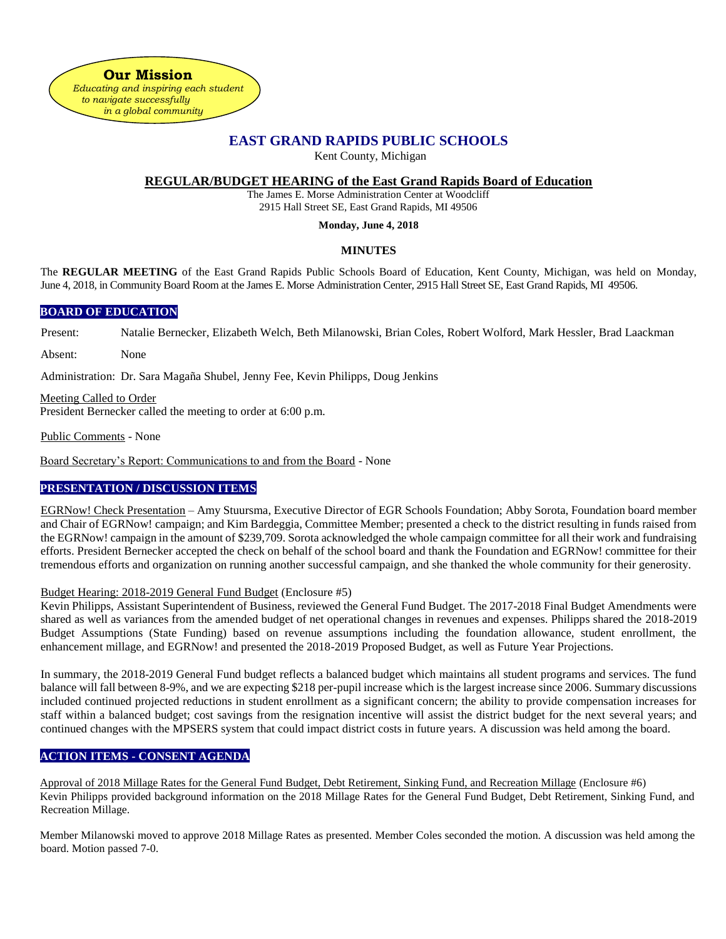**Our Mission**  *Educating and inspiring each student to navigate successfully in a global community*

# **EAST GRAND RAPIDS PUBLIC SCHOOLS**

Kent County, Michigan

### **REGULAR/BUDGET HEARING of the East Grand Rapids Board of Education**

The James E. Morse Administration Center at Woodcliff 2915 Hall Street SE, East Grand Rapids, MI 49506

#### **Monday, June 4, 2018**

#### **MINUTES**

The **REGULAR MEETING** of the East Grand Rapids Public Schools Board of Education, Kent County, Michigan, was held on Monday, June 4, 2018, in Community Board Room at the James E. Morse Administration Center, 2915 Hall Street SE, East Grand Rapids, MI 49506.

#### **BOARD OF EDUCATION**

Present: Natalie Bernecker, Elizabeth Welch, Beth Milanowski, Brian Coles, Robert Wolford, Mark Hessler, Brad Laackman

Absent: None

Administration: Dr. Sara Magaña Shubel, Jenny Fee, Kevin Philipps, Doug Jenkins

Meeting Called to Order President Bernecker called the meeting to order at 6:00 p.m.

Public Comments - None

Board Secretary's Report: Communications to and from the Board - None

### **PRESENTATION / DISCUSSION ITEMS**

EGRNow! Check Presentation – Amy Stuursma, Executive Director of EGR Schools Foundation; Abby Sorota, Foundation board member and Chair of EGRNow! campaign; and Kim Bardeggia, Committee Member; presented a check to the district resulting in funds raised from the EGRNow! campaign in the amount of \$239,709. Sorota acknowledged the whole campaign committee for all their work and fundraising efforts. President Bernecker accepted the check on behalf of the school board and thank the Foundation and EGRNow! committee for their tremendous efforts and organization on running another successful campaign, and she thanked the whole community for their generosity.

#### Budget Hearing: 2018-2019 General Fund Budget (Enclosure #5)

Kevin Philipps, Assistant Superintendent of Business, reviewed the General Fund Budget. The 2017-2018 Final Budget Amendments were shared as well as variances from the amended budget of net operational changes in revenues and expenses. Philipps shared the 2018-2019 Budget Assumptions (State Funding) based on revenue assumptions including the foundation allowance, student enrollment, the enhancement millage, and EGRNow! and presented the 2018-2019 Proposed Budget, as well as Future Year Projections.

In summary, the 2018-2019 General Fund budget reflects a balanced budget which maintains all student programs and services. The fund balance will fall between 8-9%, and we are expecting \$218 per-pupil increase which is the largest increase since 2006. Summary discussions included continued projected reductions in student enrollment as a significant concern; the ability to provide compensation increases for staff within a balanced budget; cost savings from the resignation incentive will assist the district budget for the next several years; and continued changes with the MPSERS system that could impact district costs in future years. A discussion was held among the board.

## **ACTION ITEMS - CONSENT AGENDA**

Approval of 2018 Millage Rates for the General Fund Budget, Debt Retirement, Sinking Fund, and Recreation Millage (Enclosure #6) Kevin Philipps provided background information on the 2018 Millage Rates for the General Fund Budget, Debt Retirement, Sinking Fund, and Recreation Millage.

Member Milanowski moved to approve 2018 Millage Rates as presented. Member Coles seconded the motion. A discussion was held among the board. Motion passed 7-0.